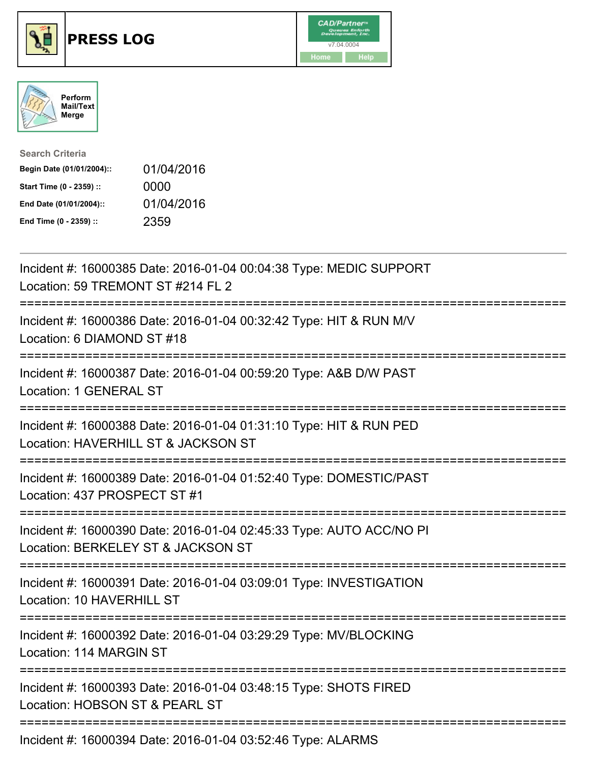





| <b>Search Criteria</b>    |            |
|---------------------------|------------|
| Begin Date (01/01/2004):: | 01/04/2016 |
| Start Time (0 - 2359) ::  | 0000       |
| End Date (01/01/2004)::   | 01/04/2016 |
| End Time (0 - 2359) ::    | 2359       |

| Incident #: 16000385 Date: 2016-01-04 00:04:38 Type: MEDIC SUPPORT<br>Location: 59 TREMONT ST #214 FL 2                                     |
|---------------------------------------------------------------------------------------------------------------------------------------------|
| Incident #: 16000386 Date: 2016-01-04 00:32:42 Type: HIT & RUN M/V<br>Location: 6 DIAMOND ST #18                                            |
| Incident #: 16000387 Date: 2016-01-04 00:59:20 Type: A&B D/W PAST<br>Location: 1 GENERAL ST                                                 |
| Incident #: 16000388 Date: 2016-01-04 01:31:10 Type: HIT & RUN PED<br>Location: HAVERHILL ST & JACKSON ST<br>=======================        |
| Incident #: 16000389 Date: 2016-01-04 01:52:40 Type: DOMESTIC/PAST<br>Location: 437 PROSPECT ST #1                                          |
| Incident #: 16000390 Date: 2016-01-04 02:45:33 Type: AUTO ACC/NO PI<br>Location: BERKELEY ST & JACKSON ST<br>:============================= |
| Incident #: 16000391 Date: 2016-01-04 03:09:01 Type: INVESTIGATION<br>Location: 10 HAVERHILL ST<br>--------------------                     |
| Incident #: 16000392 Date: 2016-01-04 03:29:29 Type: MV/BLOCKING<br>Location: 114 MARGIN ST                                                 |
| Incident #: 16000393 Date: 2016-01-04 03:48:15 Type: SHOTS FIRED<br>Location: HOBSON ST & PEARL ST                                          |
| Incident #: 16000394 Date: 2016-01-04 03:52:46 Type: ALARMS                                                                                 |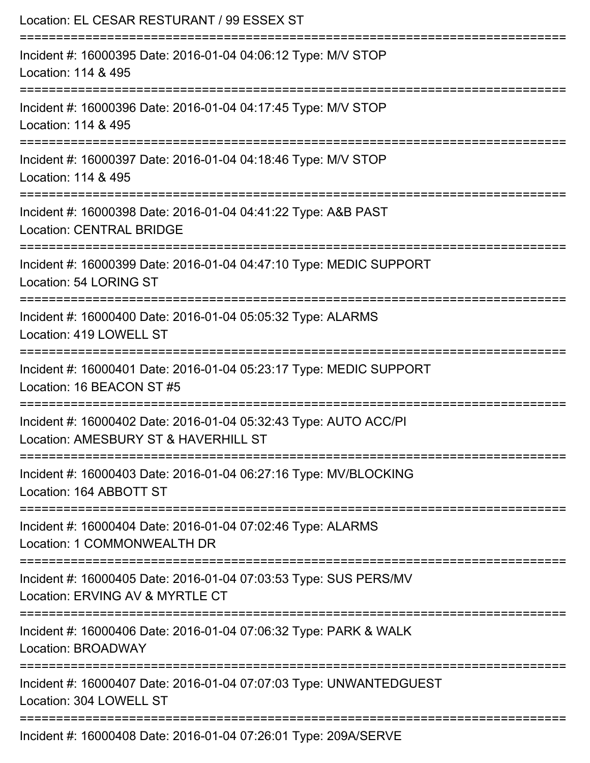| Location: EL CESAR RESTURANT / 99 ESSEX ST                                                                                  |
|-----------------------------------------------------------------------------------------------------------------------------|
| Incident #: 16000395 Date: 2016-01-04 04:06:12 Type: M/V STOP<br>Location: 114 & 495                                        |
| Incident #: 16000396 Date: 2016-01-04 04:17:45 Type: M/V STOP<br>Location: 114 & 495                                        |
| Incident #: 16000397 Date: 2016-01-04 04:18:46 Type: M/V STOP<br>Location: 114 & 495                                        |
| Incident #: 16000398 Date: 2016-01-04 04:41:22 Type: A&B PAST<br><b>Location: CENTRAL BRIDGE</b>                            |
| Incident #: 16000399 Date: 2016-01-04 04:47:10 Type: MEDIC SUPPORT<br>Location: 54 LORING ST                                |
| Incident #: 16000400 Date: 2016-01-04 05:05:32 Type: ALARMS<br>Location: 419 LOWELL ST                                      |
| Incident #: 16000401 Date: 2016-01-04 05:23:17 Type: MEDIC SUPPORT<br>Location: 16 BEACON ST #5                             |
| Incident #: 16000402 Date: 2016-01-04 05:32:43 Type: AUTO ACC/PI<br>Location: AMESBURY ST & HAVERHILL ST                    |
| ============================<br>Incident #: 16000403 Date: 2016-01-04 06:27:16 Type: MV/BLOCKING<br>Location: 164 ABBOTT ST |
| Incident #: 16000404 Date: 2016-01-04 07:02:46 Type: ALARMS<br>Location: 1 COMMONWEALTH DR                                  |
| Incident #: 16000405 Date: 2016-01-04 07:03:53 Type: SUS PERS/MV<br>Location: ERVING AV & MYRTLE CT                         |
| Incident #: 16000406 Date: 2016-01-04 07:06:32 Type: PARK & WALK<br>Location: BROADWAY                                      |
| Incident #: 16000407 Date: 2016-01-04 07:07:03 Type: UNWANTEDGUEST<br>Location: 304 LOWELL ST                               |
| Incident #: 16000408 Date: 2016-01-04 07:26:01 Type: 209A/SERVE                                                             |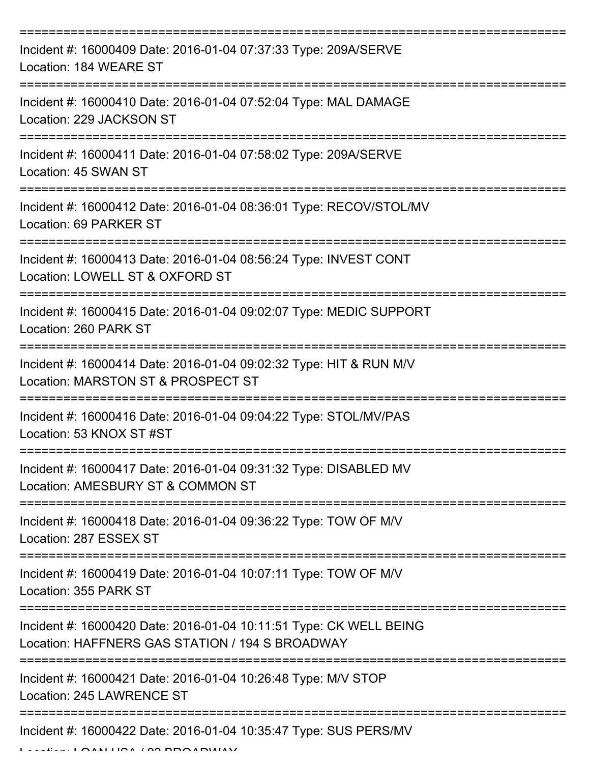| Incident #: 16000409 Date: 2016-01-04 07:37:33 Type: 209A/SERVE<br>Location: 184 WEARE ST                             |
|-----------------------------------------------------------------------------------------------------------------------|
| Incident #: 16000410 Date: 2016-01-04 07:52:04 Type: MAL DAMAGE<br>Location: 229 JACKSON ST                           |
| Incident #: 16000411 Date: 2016-01-04 07:58:02 Type: 209A/SERVE<br>Location: 45 SWAN ST                               |
| Incident #: 16000412 Date: 2016-01-04 08:36:01 Type: RECOV/STOL/MV<br>Location: 69 PARKER ST                          |
| Incident #: 16000413 Date: 2016-01-04 08:56:24 Type: INVEST CONT<br>Location: LOWELL ST & OXFORD ST                   |
| Incident #: 16000415 Date: 2016-01-04 09:02:07 Type: MEDIC SUPPORT<br>Location: 260 PARK ST                           |
| Incident #: 16000414 Date: 2016-01-04 09:02:32 Type: HIT & RUN M/V<br>Location: MARSTON ST & PROSPECT ST              |
| Incident #: 16000416 Date: 2016-01-04 09:04:22 Type: STOL/MV/PAS<br>Location: 53 KNOX ST #ST                          |
| Incident #: 16000417 Date: 2016-01-04 09:31:32 Type: DISABLED MV<br>Location: AMESBURY ST & COMMON ST                 |
| Incident #: 16000418 Date: 2016-01-04 09:36:22 Type: TOW OF M/V<br>Location: 287 ESSEX ST                             |
| Incident #: 16000419 Date: 2016-01-04 10:07:11 Type: TOW OF M/V<br>Location: 355 PARK ST                              |
| Incident #: 16000420 Date: 2016-01-04 10:11:51 Type: CK WELL BEING<br>Location: HAFFNERS GAS STATION / 194 S BROADWAY |
| Incident #: 16000421 Date: 2016-01-04 10:26:48 Type: M/V STOP<br>Location: 245 LAWRENCE ST                            |
| Incident #: 16000422 Date: 2016-01-04 10:35:47 Type: SUS PERS/MV                                                      |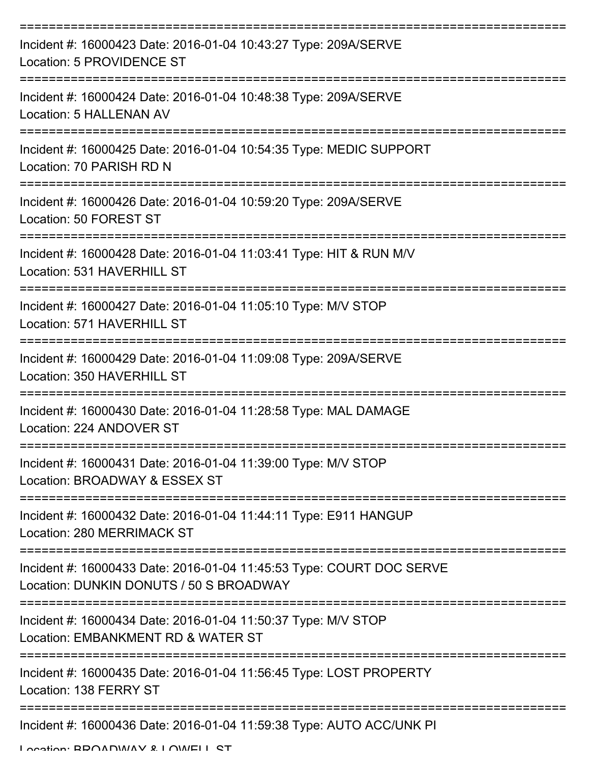| Incident #: 16000423 Date: 2016-01-04 10:43:27 Type: 209A/SERVE<br>Location: 5 PROVIDENCE ST                    |
|-----------------------------------------------------------------------------------------------------------------|
| Incident #: 16000424 Date: 2016-01-04 10:48:38 Type: 209A/SERVE<br>Location: 5 HALLENAN AV                      |
| Incident #: 16000425 Date: 2016-01-04 10:54:35 Type: MEDIC SUPPORT<br>Location: 70 PARISH RD N                  |
| Incident #: 16000426 Date: 2016-01-04 10:59:20 Type: 209A/SERVE<br>Location: 50 FOREST ST                       |
| Incident #: 16000428 Date: 2016-01-04 11:03:41 Type: HIT & RUN M/V<br>Location: 531 HAVERHILL ST                |
| Incident #: 16000427 Date: 2016-01-04 11:05:10 Type: M/V STOP<br>Location: 571 HAVERHILL ST                     |
| Incident #: 16000429 Date: 2016-01-04 11:09:08 Type: 209A/SERVE<br>Location: 350 HAVERHILL ST                   |
| Incident #: 16000430 Date: 2016-01-04 11:28:58 Type: MAL DAMAGE<br>Location: 224 ANDOVER ST                     |
| Incident #: 16000431 Date: 2016-01-04 11:39:00 Type: M/V STOP<br>Location: BROADWAY & ESSEX ST                  |
| Incident #: 16000432 Date: 2016-01-04 11:44:11 Type: E911 HANGUP<br><b>Location: 280 MERRIMACK ST</b>           |
| Incident #: 16000433 Date: 2016-01-04 11:45:53 Type: COURT DOC SERVE<br>Location: DUNKIN DONUTS / 50 S BROADWAY |
| Incident #: 16000434 Date: 2016-01-04 11:50:37 Type: M/V STOP<br>Location: EMBANKMENT RD & WATER ST             |
| Incident #: 16000435 Date: 2016-01-04 11:56:45 Type: LOST PROPERTY<br>Location: 138 FERRY ST                    |
| Incident #: 16000436 Date: 2016-01-04 11:59:38 Type: AUTO ACC/UNK PI                                            |

Location: BROADWAY & LOWELL ST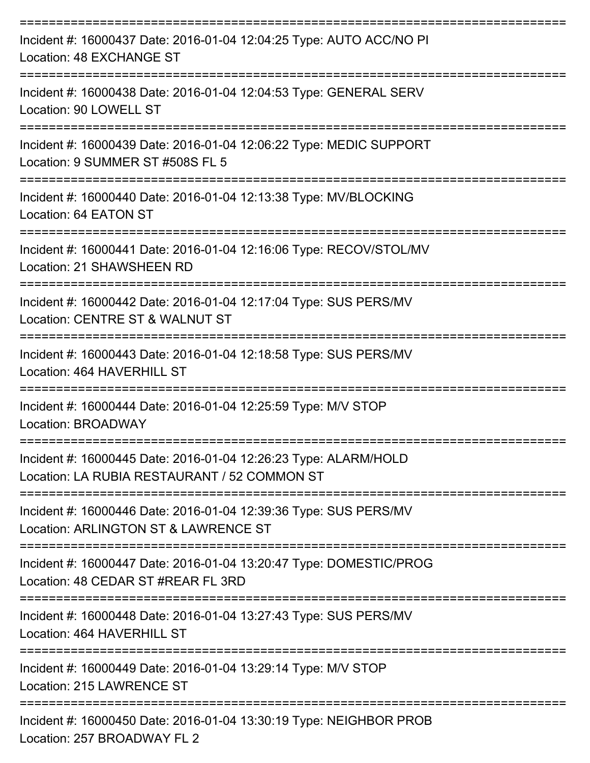| Incident #: 16000437 Date: 2016-01-04 12:04:25 Type: AUTO ACC/NO PI<br>Location: 48 EXCHANGE ST                      |
|----------------------------------------------------------------------------------------------------------------------|
| Incident #: 16000438 Date: 2016-01-04 12:04:53 Type: GENERAL SERV<br>Location: 90 LOWELL ST                          |
| Incident #: 16000439 Date: 2016-01-04 12:06:22 Type: MEDIC SUPPORT<br>Location: 9 SUMMER ST #508S FL 5               |
| Incident #: 16000440 Date: 2016-01-04 12:13:38 Type: MV/BLOCKING<br>Location: 64 EATON ST<br>======================= |
| Incident #: 16000441 Date: 2016-01-04 12:16:06 Type: RECOV/STOL/MV<br>Location: 21 SHAWSHEEN RD                      |
| Incident #: 16000442 Date: 2016-01-04 12:17:04 Type: SUS PERS/MV<br>Location: CENTRE ST & WALNUT ST                  |
| Incident #: 16000443 Date: 2016-01-04 12:18:58 Type: SUS PERS/MV<br>Location: 464 HAVERHILL ST                       |
| Incident #: 16000444 Date: 2016-01-04 12:25:59 Type: M/V STOP<br><b>Location: BROADWAY</b>                           |
| Incident #: 16000445 Date: 2016-01-04 12:26:23 Type: ALARM/HOLD<br>Location: LA RUBIA RESTAURANT / 52 COMMON ST      |
| Incident #: 16000446 Date: 2016-01-04 12:39:36 Type: SUS PERS/MV<br>Location: ARLINGTON ST & LAWRENCE ST             |
| Incident #: 16000447 Date: 2016-01-04 13:20:47 Type: DOMESTIC/PROG<br>Location: 48 CEDAR ST #REAR FL 3RD             |
| Incident #: 16000448 Date: 2016-01-04 13:27:43 Type: SUS PERS/MV<br>Location: 464 HAVERHILL ST                       |
| Incident #: 16000449 Date: 2016-01-04 13:29:14 Type: M/V STOP<br>Location: 215 LAWRENCE ST                           |
| Incident #: 16000450 Date: 2016-01-04 13:30:19 Type: NEIGHBOR PROB<br>Location: 257 BROADWAY FL 2                    |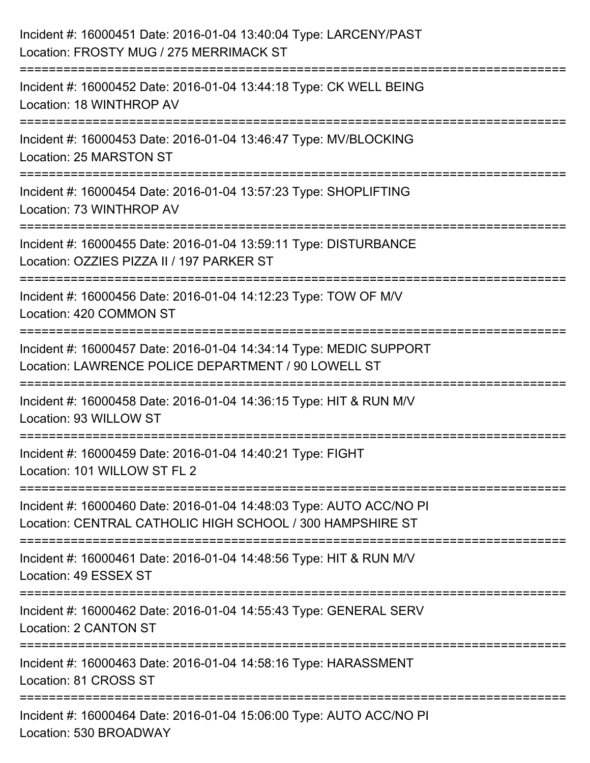| Incident #: 16000451 Date: 2016-01-04 13:40:04 Type: LARCENY/PAST<br>Location: FROSTY MUG / 275 MERRIMACK ST                                               |
|------------------------------------------------------------------------------------------------------------------------------------------------------------|
| Incident #: 16000452 Date: 2016-01-04 13:44:18 Type: CK WELL BEING<br>Location: 18 WINTHROP AV                                                             |
| Incident #: 16000453 Date: 2016-01-04 13:46:47 Type: MV/BLOCKING<br>Location: 25 MARSTON ST                                                                |
| ===================================<br>Incident #: 16000454 Date: 2016-01-04 13:57:23 Type: SHOPLIFTING<br>Location: 73 WINTHROP AV<br>:================== |
| Incident #: 16000455 Date: 2016-01-04 13:59:11 Type: DISTURBANCE<br>Location: OZZIES PIZZA II / 197 PARKER ST                                              |
| Incident #: 16000456 Date: 2016-01-04 14:12:23 Type: TOW OF M/V<br>Location: 420 COMMON ST                                                                 |
| Incident #: 16000457 Date: 2016-01-04 14:34:14 Type: MEDIC SUPPORT<br>Location: LAWRENCE POLICE DEPARTMENT / 90 LOWELL ST                                  |
| Incident #: 16000458 Date: 2016-01-04 14:36:15 Type: HIT & RUN M/V<br>Location: 93 WILLOW ST                                                               |
| Incident #: 16000459 Date: 2016-01-04 14:40:21 Type: FIGHT<br>Location: 101 WILLOW ST FL 2                                                                 |
| Incident #: 16000460 Date: 2016-01-04 14:48:03 Type: AUTO ACC/NO PI<br>Location: CENTRAL CATHOLIC HIGH SCHOOL / 300 HAMPSHIRE ST                           |
| Incident #: 16000461 Date: 2016-01-04 14:48:56 Type: HIT & RUN M/V<br>Location: 49 ESSEX ST                                                                |
| Incident #: 16000462 Date: 2016-01-04 14:55:43 Type: GENERAL SERV<br>Location: 2 CANTON ST                                                                 |
| Incident #: 16000463 Date: 2016-01-04 14:58:16 Type: HARASSMENT<br>Location: 81 CROSS ST                                                                   |
| Incident #: 16000464 Date: 2016-01-04 15:06:00 Type: AUTO ACC/NO PI<br>Location: 530 BROADWAY                                                              |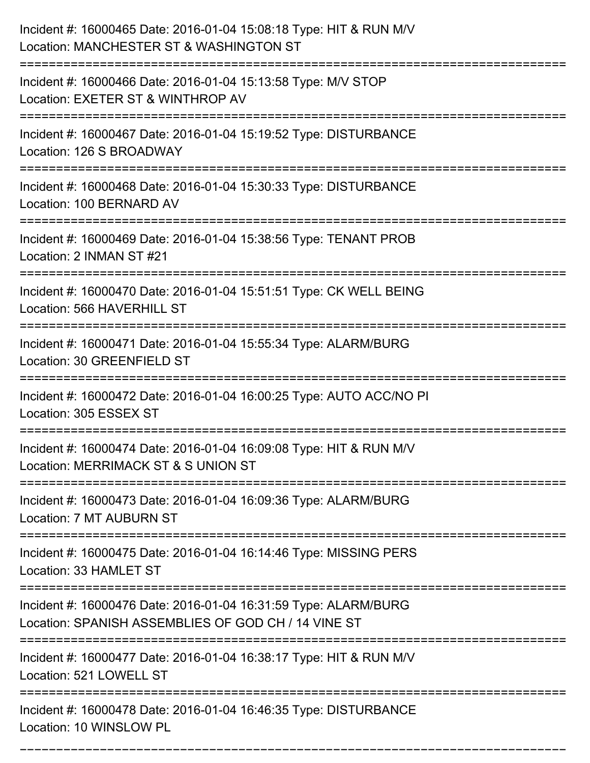| Incident #: 16000465 Date: 2016-01-04 15:08:18 Type: HIT & RUN M/V<br>Location: MANCHESTER ST & WASHINGTON ST                                                      |
|--------------------------------------------------------------------------------------------------------------------------------------------------------------------|
| Incident #: 16000466 Date: 2016-01-04 15:13:58 Type: M/V STOP<br>Location: EXETER ST & WINTHROP AV                                                                 |
| Incident #: 16000467 Date: 2016-01-04 15:19:52 Type: DISTURBANCE<br>Location: 126 S BROADWAY                                                                       |
| Incident #: 16000468 Date: 2016-01-04 15:30:33 Type: DISTURBANCE<br>Location: 100 BERNARD AV                                                                       |
| Incident #: 16000469 Date: 2016-01-04 15:38:56 Type: TENANT PROB<br>Location: 2 INMAN ST #21                                                                       |
| Incident #: 16000470 Date: 2016-01-04 15:51:51 Type: CK WELL BEING<br>Location: 566 HAVERHILL ST                                                                   |
| Incident #: 16000471 Date: 2016-01-04 15:55:34 Type: ALARM/BURG<br>Location: 30 GREENFIELD ST<br>-------------                                                     |
| Incident #: 16000472 Date: 2016-01-04 16:00:25 Type: AUTO ACC/NO PI<br>Location: 305 ESSEX ST                                                                      |
| Incident #: 16000474 Date: 2016-01-04 16:09:08 Type: HIT & RUN M/V<br>Location: MERRIMACK ST & S UNION ST                                                          |
| Incident #: 16000473 Date: 2016-01-04 16:09:36 Type: ALARM/BURG<br>Location: 7 MT AUBURN ST                                                                        |
| -----------------------------------<br>----------------------------<br>Incident #: 16000475 Date: 2016-01-04 16:14:46 Type: MISSING PERS<br>Location: 33 HAMLET ST |
| Incident #: 16000476 Date: 2016-01-04 16:31:59 Type: ALARM/BURG<br>Location: SPANISH ASSEMBLIES OF GOD CH / 14 VINE ST                                             |
| Incident #: 16000477 Date: 2016-01-04 16:38:17 Type: HIT & RUN M/V<br>Location: 521 LOWELL ST                                                                      |
| Incident #: 16000478 Date: 2016-01-04 16:46:35 Type: DISTURBANCE<br>Location: 10 WINSLOW PL                                                                        |

===========================================================================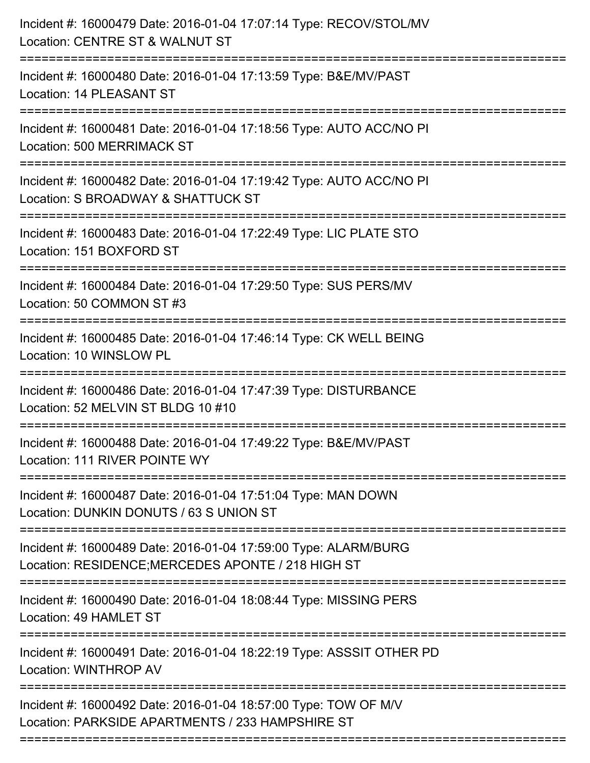| Incident #: 16000479 Date: 2016-01-04 17:07:14 Type: RECOV/STOL/MV<br>Location: CENTRE ST & WALNUT ST                                          |
|------------------------------------------------------------------------------------------------------------------------------------------------|
| Incident #: 16000480 Date: 2016-01-04 17:13:59 Type: B&E/MV/PAST<br>Location: 14 PLEASANT ST                                                   |
| Incident #: 16000481 Date: 2016-01-04 17:18:56 Type: AUTO ACC/NO PI<br><b>Location: 500 MERRIMACK ST</b><br>:================================= |
| Incident #: 16000482 Date: 2016-01-04 17:19:42 Type: AUTO ACC/NO PI<br>Location: S BROADWAY & SHATTUCK ST                                      |
| Incident #: 16000483 Date: 2016-01-04 17:22:49 Type: LIC PLATE STO<br>Location: 151 BOXFORD ST                                                 |
| Incident #: 16000484 Date: 2016-01-04 17:29:50 Type: SUS PERS/MV<br>Location: 50 COMMON ST #3                                                  |
| Incident #: 16000485 Date: 2016-01-04 17:46:14 Type: CK WELL BEING<br>Location: 10 WINSLOW PL                                                  |
| Incident #: 16000486 Date: 2016-01-04 17:47:39 Type: DISTURBANCE<br>Location: 52 MELVIN ST BLDG 10 #10                                         |
| Incident #: 16000488 Date: 2016-01-04 17:49:22 Type: B&E/MV/PAST<br>Location: 111 RIVER POINTE WY                                              |
| Incident #: 16000487 Date: 2016-01-04 17:51:04 Type: MAN DOWN<br>Location: DUNKIN DONUTS / 63 S UNION ST                                       |
| Incident #: 16000489 Date: 2016-01-04 17:59:00 Type: ALARM/BURG<br>Location: RESIDENCE; MERCEDES APONTE / 218 HIGH ST                          |
| Incident #: 16000490 Date: 2016-01-04 18:08:44 Type: MISSING PERS<br>Location: 49 HAMLET ST                                                    |
| Incident #: 16000491 Date: 2016-01-04 18:22:19 Type: ASSSIT OTHER PD<br><b>Location: WINTHROP AV</b>                                           |
| Incident #: 16000492 Date: 2016-01-04 18:57:00 Type: TOW OF M/V<br>Location: PARKSIDE APARTMENTS / 233 HAMPSHIRE ST                            |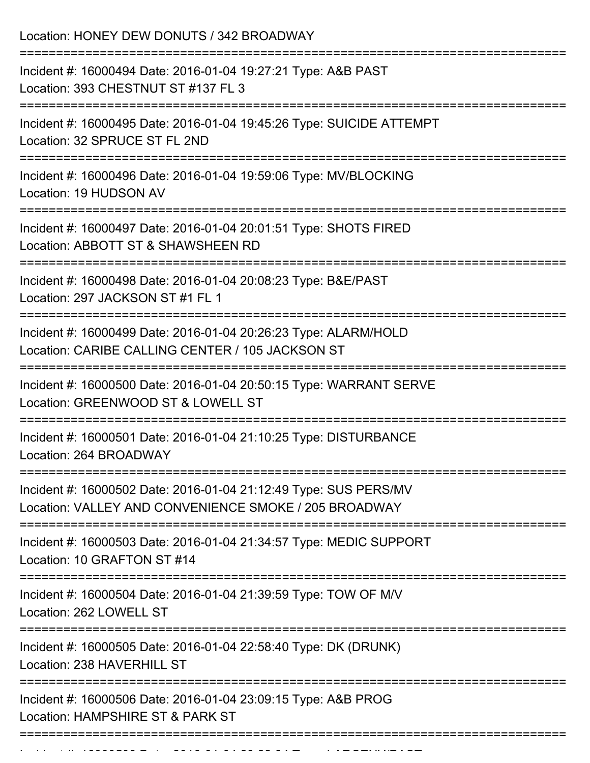| Location: HONEY DEW DONUTS / 342 BROADWAY                                                                                 |
|---------------------------------------------------------------------------------------------------------------------------|
| Incident #: 16000494 Date: 2016-01-04 19:27:21 Type: A&B PAST<br>Location: 393 CHESTNUT ST #137 FL 3                      |
| Incident #: 16000495 Date: 2016-01-04 19:45:26 Type: SUICIDE ATTEMPT<br>Location: 32 SPRUCE ST FL 2ND                     |
| Incident #: 16000496 Date: 2016-01-04 19:59:06 Type: MV/BLOCKING<br>Location: 19 HUDSON AV                                |
| Incident #: 16000497 Date: 2016-01-04 20:01:51 Type: SHOTS FIRED<br>Location: ABBOTT ST & SHAWSHEEN RD                    |
| Incident #: 16000498 Date: 2016-01-04 20:08:23 Type: B&E/PAST<br>Location: 297 JACKSON ST #1 FL 1                         |
| Incident #: 16000499 Date: 2016-01-04 20:26:23 Type: ALARM/HOLD<br>Location: CARIBE CALLING CENTER / 105 JACKSON ST       |
| Incident #: 16000500 Date: 2016-01-04 20:50:15 Type: WARRANT SERVE<br>Location: GREENWOOD ST & LOWELL ST                  |
| Incident #: 16000501 Date: 2016-01-04 21:10:25 Type: DISTURBANCE<br>Location: 264 BROADWAY                                |
| Incident #: 16000502 Date: 2016-01-04 21:12:49 Type: SUS PERS/MV<br>Location: VALLEY AND CONVENIENCE SMOKE / 205 BROADWAY |
| Incident #: 16000503 Date: 2016-01-04 21:34:57 Type: MEDIC SUPPORT<br>Location: 10 GRAFTON ST #14                         |
| Incident #: 16000504 Date: 2016-01-04 21:39:59 Type: TOW OF M/V<br>Location: 262 LOWELL ST                                |
| Incident #: 16000505 Date: 2016-01-04 22:58:40 Type: DK (DRUNK)<br>Location: 238 HAVERHILL ST                             |
| Incident #: 16000506 Date: 2016-01-04 23:09:15 Type: A&B PROG<br>Location: HAMPSHIRE ST & PARK ST                         |
|                                                                                                                           |

Incident #: 16000508 Date: 2016 01 04 24:23:22:22:22:34 Type: 2023